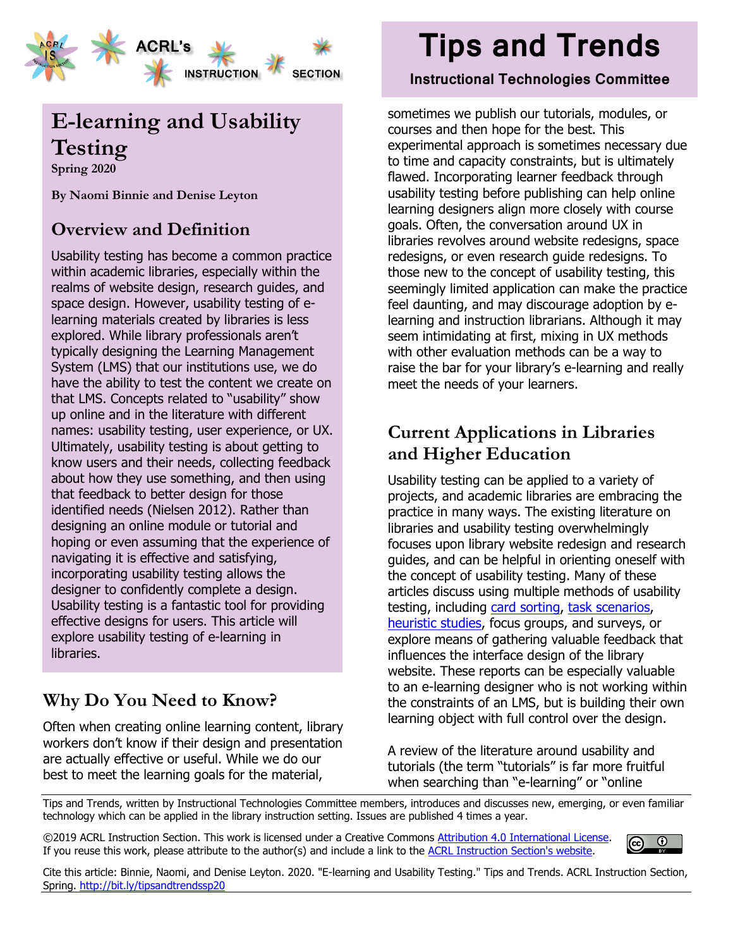

# **E-learning and Usability Testing**

**Spring 2020**

**By Naomi Binnie and Denise Leyton**

## **Overview and Definition**

Usability testing has become a common practice within academic libraries, especially within the realms of website design, research guides, and space design. However, usability testing of elearning materials created by libraries is less explored. While library professionals aren't typically designing the Learning Management System (LMS) that our institutions use, we do have the ability to test the content we create on that LMS. Concepts related to "usability" show up online and in the literature with different names: usability testing, user experience, or UX. Ultimately, usability testing is about getting to know users and their needs, collecting feedback about how they use something, and then using that feedback to better design for those identified needs (Nielsen 2012). Rather than designing an online module or tutorial and hoping or even assuming that the experience of navigating it is effective and satisfying, incorporating usability testing allows the designer to confidently complete a design. Usability testing is a fantastic tool for providing effective designs for users. This article will explore usability testing of e-learning in libraries.

## **Why Do You Need to Know?**

Often when creating online learning content, library workers don't know if their design and presentation are actually effective or useful. While we do our best to meet the learning goals for the material,

# **Tips and Trends**

#### **Instructional Technologies Committee**

sometimes we publish our tutorials, modules, or courses and then hope for the best. This experimental approach is sometimes necessary due to time and capacity constraints, but is ultimately flawed. Incorporating learner feedback through usability testing before publishing can help online learning designers align more closely with course goals. Often, the conversation around UX in libraries revolves around website redesigns, space redesigns, or even research guide redesigns. To those new to the concept of usability testing, this seemingly limited application can make the practice feel daunting, and may discourage adoption by elearning and instruction librarians. Although it may seem intimidating at first, mixing in UX methods with other evaluation methods can be a way to raise the bar for your library's e-learning and really meet the needs of your learners.

#### **Current Applications in Libraries and Higher Education**

Usability testing can be applied to a variety of projects, and academic libraries are embracing the practice in many ways. The existing literature on libraries and usability testing overwhelmingly focuses upon library website redesign and research guides, and can be helpful in orienting oneself with the concept of usability testing. Many of these articles discuss using multiple methods of usability testing, including [card sorting,](https://www.nngroup.com/articles/card-sorting-definition/) [task scenarios,](https://www.nngroup.com/articles/usability-testing-101/) [heuristic studies,](https://www.nngroup.com/articles/how-to-conduct-a-heuristic-evaluation/) focus groups, and surveys, or explore means of gathering valuable feedback that influences the interface design of the library website. These reports can be especially valuable to an e-learning designer who is not working within the constraints of an LMS, but is building their own learning object with full control over the design.

A review of the literature around usability and tutorials (the term "tutorials" is far more fruitful when searching than "e-learning" or "online

Tips and Trends, written by Instructional Technologies Committee members, introduces and discusses new, emerging, or even familiar technology which can be applied in the library instruction setting. Issues are published 4 times a year.

©2019 ACRL Instruction Section. This work is licensed under a Creative Commons [Attribution 4.0 International License.](https://creativecommons.org/licenses/by/4.0/) If you reuse this work, please attribute to the author(s) and include a link to the [ACRL Instruction Section's website.](https://acrl.ala.org/IS/)



Cite this article: Binnie, Naomi, and Denise Leyton. 2020. "E-learning and Usability Testing." Tips and Trends. ACRL Instruction Section, Spring. <http://bit.ly/tipsandtrendssp20>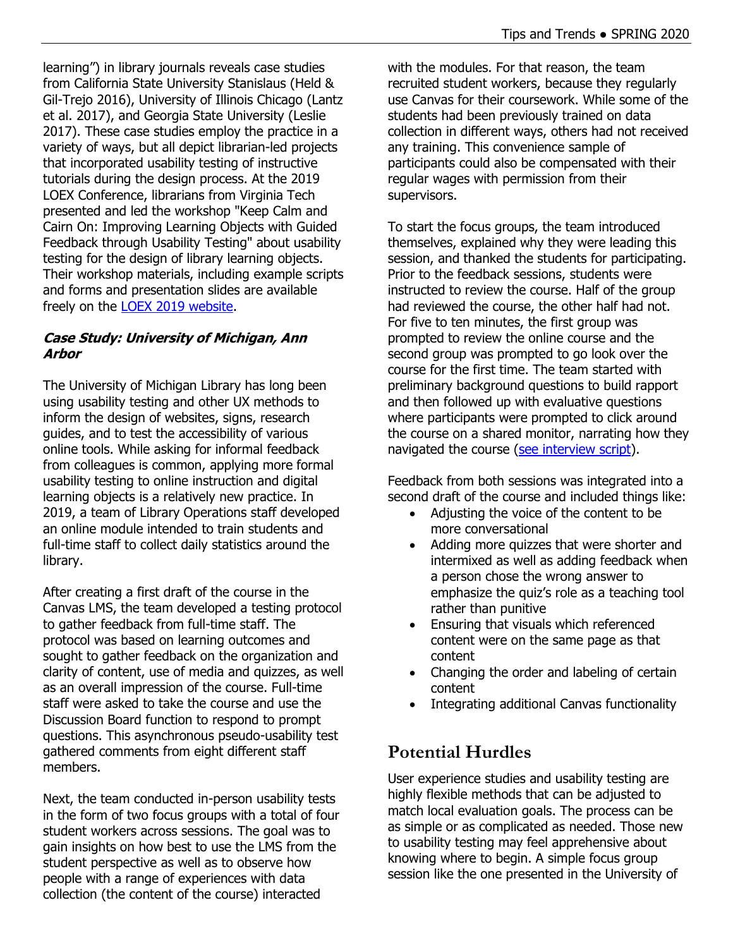learning") in library journals reveals case studies from California State University Stanislaus (Held & Gil-Trejo 2016), University of Illinois Chicago (Lantz et al. 2017), and Georgia State University (Leslie 2017). These case studies employ the practice in a variety of ways, but all depict librarian-led projects that incorporated usability testing of instructive tutorials during the design process. At the 2019 LOEX Conference, librarians from Virginia Tech presented and led the workshop "Keep Calm and Cairn On: Improving Learning Objects with Guided Feedback through Usability Testing" about usability testing for the design of library learning objects. Their workshop materials, including example scripts and forms and presentation slides are available freely on the [LOEX 2019 website.](http://www.loexconference.org/2019/sessions.html)

#### **Case Study: University of Michigan, Ann Arbor**

The University of Michigan Library has long been using usability testing and other UX methods to inform the design of websites, signs, research guides, and to test the accessibility of various online tools. While asking for informal feedback from colleagues is common, applying more formal usability testing to online instruction and digital learning objects is a relatively new practice. In 2019, a team of Library Operations staff developed an online module intended to train students and full-time staff to collect daily statistics around the library.

After creating a first draft of the course in the Canvas LMS, the team developed a testing protocol to gather feedback from full-time staff. The protocol was based on learning outcomes and sought to gather feedback on the organization and clarity of content, use of media and quizzes, as well as an overall impression of the course. Full-time staff were asked to take the course and use the Discussion Board function to respond to prompt questions. This asynchronous pseudo-usability test gathered comments from eight different staff members.

Next, the team conducted in-person usability tests in the form of two focus groups with a total of four student workers across sessions. The goal was to gain insights on how best to use the LMS from the student perspective as well as to observe how people with a range of experiences with data collection (the content of the course) interacted

with the modules. For that reason, the team recruited student workers, because they regularly use Canvas for their coursework. While some of the students had been previously trained on data collection in different ways, others had not received any training. This convenience sample of participants could also be compensated with their regular wages with permission from their supervisors.

To start the focus groups, the team introduced themselves, explained why they were leading this session, and thanked the students for participating. Prior to the feedback sessions, students were instructed to review the course. Half of the group had reviewed the course, the other half had not. For five to ten minutes, the first group was prompted to review the online course and the second group was prompted to go look over the course for the first time. The team started with preliminary background questions to build rapport and then followed up with evaluative questions where participants were prompted to click around the course on a shared monitor, narrating how they navigated the course [\(see interview script\)](https://docs.google.com/document/d/1NyiGHFWCfG5yv99qYsDU60AHhcEl6ragaoGvSi0DmOk/edit).

Feedback from both sessions was integrated into a second draft of the course and included things like:

- Adjusting the voice of the content to be more conversational
- Adding more quizzes that were shorter and intermixed as well as adding feedback when a person chose the wrong answer to emphasize the quiz's role as a teaching tool rather than punitive
- Ensuring that visuals which referenced content were on the same page as that content
- Changing the order and labeling of certain content
- Integrating additional Canvas functionality

## **Potential Hurdles**

User experience studies and usability testing are highly flexible methods that can be adjusted to match local evaluation goals. The process can be as simple or as complicated as needed. Those new to usability testing may feel apprehensive about knowing where to begin. A simple focus group session like the one presented in the University of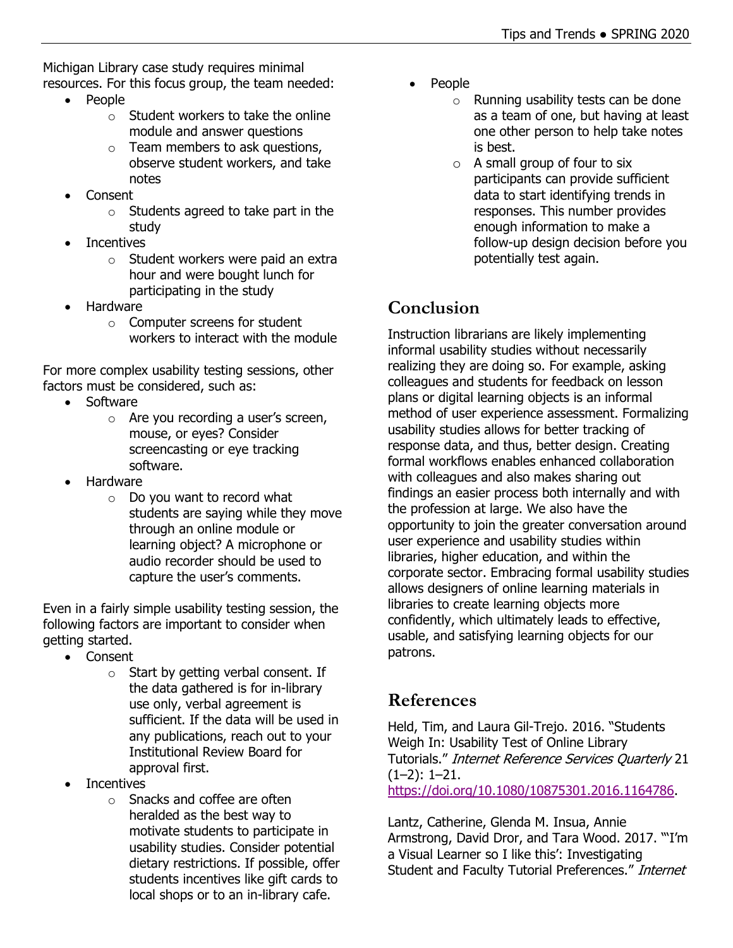Michigan Library case study requires minimal resources. For this focus group, the team needed:

- People
	- $\circ$  Student workers to take the online module and answer questions
	- $\circ$  Team members to ask questions, observe student workers, and take notes
- Consent
	- $\circ$  Students agreed to take part in the study
- **Incentives** 
	- o Student workers were paid an extra hour and were bought lunch for participating in the study
- Hardware
	- o Computer screens for student workers to interact with the module

For more complex usability testing sessions, other factors must be considered, such as:

- Software
	- o Are you recording a user's screen, mouse, or eyes? Consider screencasting or eye tracking software.
- Hardware
	- o Do you want to record what students are saying while they move through an online module or learning object? A microphone or audio recorder should be used to capture the user's comments.

Even in a fairly simple usability testing session, the following factors are important to consider when getting started.

- Consent
	- $\circ$  Start by getting verbal consent. If the data gathered is for in-library use only, verbal agreement is sufficient. If the data will be used in any publications, reach out to your Institutional Review Board for approval first.
- **Incentives** 
	- o Snacks and coffee are often heralded as the best way to motivate students to participate in usability studies. Consider potential dietary restrictions. If possible, offer students incentives like gift cards to local shops or to an in-library cafe.
- People
	- o Running usability tests can be done as a team of one, but having at least one other person to help take notes is best.
	- $\circ$  A small group of four to six participants can provide sufficient data to start identifying trends in responses. This number provides enough information to make a follow-up design decision before you potentially test again.

## **Conclusion**

Instruction librarians are likely implementing informal usability studies without necessarily realizing they are doing so. For example, asking colleagues and students for feedback on lesson plans or digital learning objects is an informal method of user experience assessment. Formalizing usability studies allows for better tracking of response data, and thus, better design. Creating formal workflows enables enhanced collaboration with colleagues and also makes sharing out findings an easier process both internally and with the profession at large. We also have the opportunity to join the greater conversation around user experience and usability studies within libraries, higher education, and within the corporate sector. Embracing formal usability studies allows designers of online learning materials in libraries to create learning objects more confidently, which ultimately leads to effective, usable, and satisfying learning objects for our patrons.

## **References**

Held, Tim, and Laura Gil-Trejo. 2016. "Students Weigh In: Usability Test of Online Library Tutorials." Internet Reference Services Quarterly 21 (1–2): 1–21. [https://doi.org/10.1080/10875301.2016.1164786.](https://doi.org/10.1080/10875301.2016.1164786)

Lantz, Catherine, Glenda M. Insua, Annie Armstrong, David Dror, and Tara Wood. 2017. "'I'm a Visual Learner so I like this': Investigating Student and Faculty Tutorial Preferences." Internet